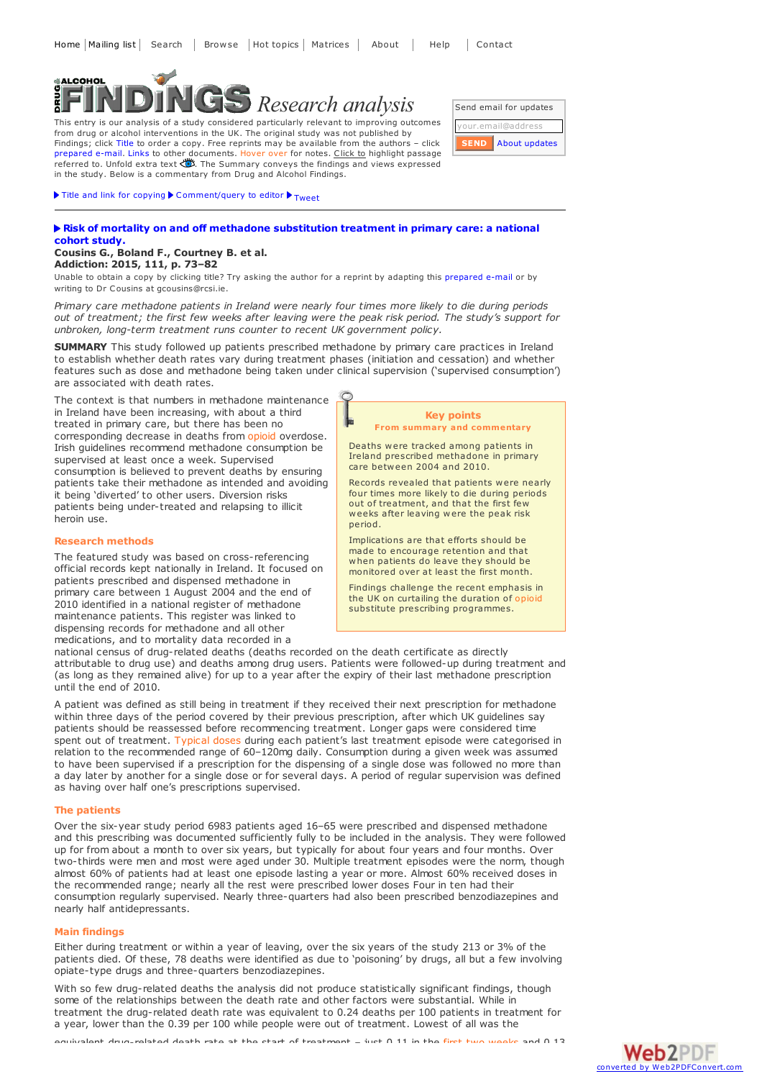# **NALCOHOL** *Research analysis*

This entry is our analysis of a study considered particularly relevant to improving outcomes from drug or alcohol interventions in the UK. The original study was not published by Findings; click Title to order a copy. Free reprints may be available from the authors - click prepared e-mail. Links to other documents. Hover over for notes. Click to highlight passage referred to. Unfold extra text  $\ddot{\ddot{\otimes}}$ . The Summary conveys the findings and views expressed in the study. Below is a commentary from Drug and Alcohol Findings.

 $\blacktriangleright$  Title and link for [copying](javascript:;)  $\blacktriangleright$  [Comment/query](mailto:editor@findings.org.uk?Subject=Findings entry: Risk of mortality on and off methadone substitution treatment in primary care: a national cohort study&body=Dear Editor%0A%0ARegarding the Findings document:%0ARisk of mortality on and off methadone substitution treatment in primary care: a national cohort study%0Aat:%0Ahttp://findings.org.uk/PHP/dl.php?file=Cousins_G_2.txt%0A%0AI would appreciate your response to this comment/query:%0A[Enter your comment/query here]) to editor  $\blacktriangleright$  [Tweet](https://twitter.com/share)

# **Risk of mortality on and off methadone [substitution](http://dx.doi.org/10.1111/add.13087) treatment in primary care: a national cohort study.**

# **Cousins G., Boland F., Courtney B. et al. Addiction: 2015, 111, p. 73–82**

Unable to obtain a copy by clicking title? Try asking the author for a reprint by adapting this [prepared](mailto:gcousins@rcsi.ie?Subject=Reprint request&body=Dear Dr Cousins%0A%0AOn the Drug and Alcohol Findings web site (http://findings.org.uk) I read about your article:%0ACousins G., Boland F., Courtney B. et al. Risk of mortality on and off methadone substitution treatment in primary care: a national cohort study. Addiction: 2015, 111, p. 73-82%0A%0AWould it be possible for me to be sent a PDF reprint or the manuscript by replying to this e-mail?%0A) e-mail or by writing to Dr Cousins at gcousins@rcsi.ie.

*Primary care methadone patients in Ireland were nearly four times more likely to die during periods* out of treatment; the first few weeks after leaving were the peak risk period. The study's support for *unbroken, long-term treatment runs counter to recent UK government policy.*

**SUMMARY** This study followed up patients prescribed methadone by primary care practices in Ireland to establish whether death rates vary during treatment phases (initiation and cessation) and whether features such as dose and methadone being taken under clinical supervision ('supervised consumption') are associated with death rates.

The context is that numbers in methadone maintenance in Ireland have been increasing, with about a third treated in primary care, but there has been no corresponding decrease in deaths from opioid overdose. Irish guidelines recommend methadone consumption be supervised at least once a week. Supervised consumption is believed to prevent deaths by ensuring patients take their methadone as intended and avoiding it being 'diverted' to other users. Diversion risks patients being under-treated and relapsing to illicit heroin use.

## **Research methods**

The featured study was based on cross-referencing official records kept nationally in Ireland. It focused on patients prescribed and dispensed methadone in primary care between 1 August 2004 and the end of 2010 identified in a national register of methadone maintenance patients. This register was linked to dispensing records for methadone and all other medications, and to mortality data recorded in <sup>a</sup>

# **Key points From summary and commentary**

Deaths were tracked among patients in Ireland prescribed methadone in primary care between 2004 and 2010.

Records revealed that patients were nearly four times more likely to die during periods out of treatment, and that the first few weeks after leaving were the peak risk period.

Implications are that efforts should be made to encourage retention and that monitored over at least the first month.

Findings challenge the recent emphasis in the UK on curtailing the duration of opioid substitute prescribing programmes.

national census of drug-related deaths (deaths recorded on the death certificate as directly attributable to drug use) and deaths among drug users. Patients were followed-up during treatment and (as long as they remained alive) for up to a year after the expiry of their last methadone prescription until the end of 2010.

A patient was defined as still being in treatment if they received their next prescription for methadone within three days of the period covered by their previous prescription, after which UK guidelines say patients should be reassessed before recommencing treatment. Longer gaps were considered time spent out of treatment. Typical doses during each patient's last treatment episode were categorised in relation to the recommended range of 60–120mg daily. Consumption during a given week was assumed to have been supervised if a prescription for the dispensing of a single dose was followed no more than a day later by another for a single dose or for several days. A period of regular supervision was defined as having over half one's prescriptions supervised.

## **The patients**

Over the six-year study period 6983 patients aged 16–65 were prescribed and dispensed methadone and this prescribing was documented sufficiently fully to be included in the analysis. They were followed up for from about a month to over six years, but typically for about four years and four months. Over two-thirds were men and most were aged under 30. Multiple treatment episodes were the norm, though almost 60% of patients had at least one episode lasting a year or more. Almost 60% received doses in the recommended range; nearly all the rest were prescribed lower doses Four in ten had their consumption regularly supervised. Nearly three-quarters had also been prescribed benzodiazepines and nearly half antidepressants.

# **Main findings**

Either during treatment or within a year of leaving, over the six years of the study 213 or 3% of the patients died. Of these, 78 deaths were identified as due to 'poisoning' by drugs, all but a few involving opiate-type drugs and three-quarters benzodiazepines.

With so few drug-related deaths the analysis did not produce statistically significant findings, though some of the relationships between the death rate and other factors were substantial. While in treatment the drug-related death rate was equivalent to 0.24 deaths per 100 patients in treatment for a year, lower than the 0.39 per 100 while people were out of treatment. Lowest of all was the

equivalent drug-related death rate at the start of treatment – just 0.11 in the first two weeks and 0.13



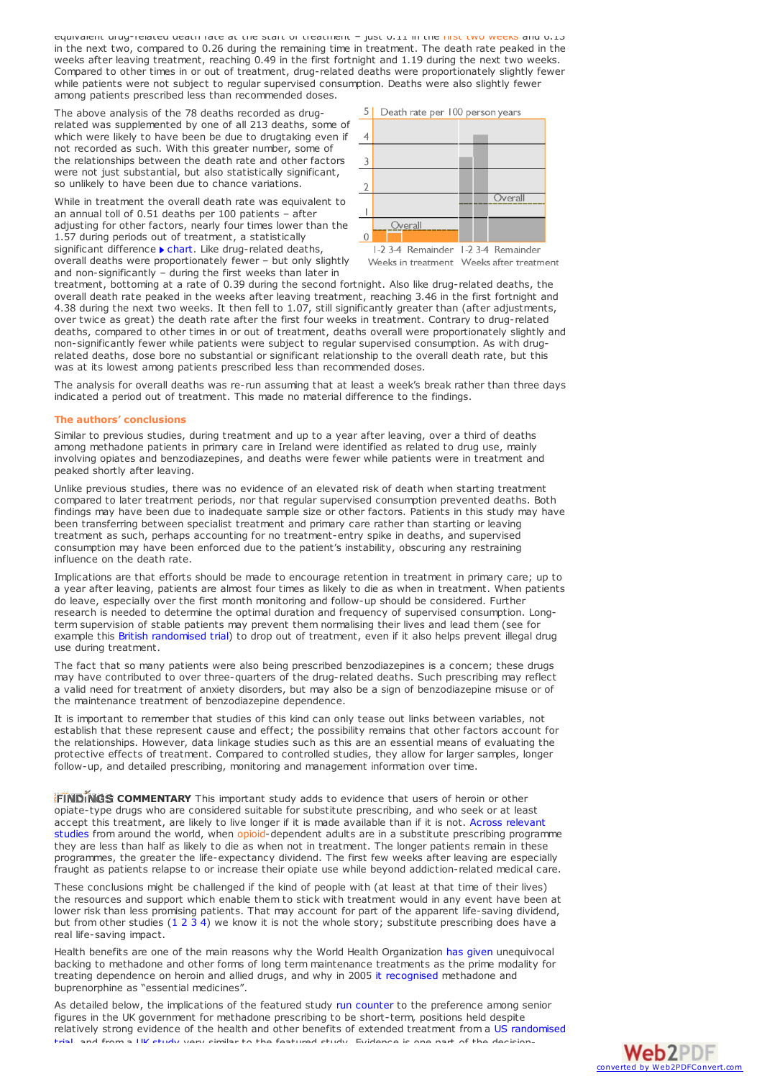equivalent drug-related death rate at the start of treatment – just 0.11 in the first two weeks and 0.13 in the next two, compared to 0.26 during the remaining time in treatment. The death rate peaked in the weeks after leaving treatment, reaching 0.49 in the first fortnight and 1.19 during the next two weeks. Compared to other times in or out of treatment, drug-related deaths were proportionately slightly fewer while patients were not subject to regular supervised consumption. Deaths were also slightly fewer among patients prescribed less than recommended doses.

The above analysis of the 78 deaths recorded as drugrelated was supplemented by one of all 213 deaths, some of which were likely to have been be due to drugtaking even if not recorded as such. With this greater number, some of the relationships between the death rate and other factors were not just substantial, but also statistically significant, so unlikely to have been due to chance variations.

While in treatment the overall death rate was equivalent to an annual toll of 0.51 deaths per 100 patients – after adjusting for other factors, nearly four times lower than the 1.57 during periods out of treatment, a statistically significant difference  $\blacktriangleright$  [chart](#page-1-0). Like drug-related deaths, overall deaths were proportionately fewer – but only slightly and non-significantly – during the first weeks than later in

<span id="page-1-0"></span>

treatment, bottoming at a rate of 0.39 during the second fortnight. Also like drug-related deaths, the overall death rate peaked in the weeks after leaving treatment, reaching 3.46 in the first fortnight and 4.38 during the next two weeks. It then fell to 1.07, still significantly greater than (after adjustments, over twice as great) the death rate after the first four weeks in treatment. Contrary to drug-related deaths, compared to other times in or out of treatment, deaths overall were proportionately slightly and non-significantly fewer while patients were subject to regular supervised consumption. As with drugrelated deaths, dose bore no substantial or significant relationship to the overall death rate, but this was at its lowest among patients prescribed less than recommended doses.

The analysis for overall deaths was re-run assuming that at least a week's break rather than three days indicated a period out of treatment. This made no material difference to the findings.

## **The authors' conclusions**

Similar to previous studies, during treatment and up to a year after leaving, over a third of deaths among methadone patients in primary care in Ireland were identified as related to drug use, mainly involving opiates and benzodiazepines, and deaths were fewer while patients were in treatment and peaked shortly after leaving.

Unlike previous studies, there was no evidence of an elevated risk of death when starting treatment compared to later treatment periods, nor that regular supervised consumption prevented deaths. Both findings may have been due to inadequate sample size or other factors. Patients in this study may have been transferring between specialist treatment and primary care rather than starting or leaving treatment as such, perhaps accounting for no treatment-entry spike in deaths, and supervised consumption may have been enforced due to the patient's instability, obscuring any restraining influence on the death rate.

Implications are that efforts should be made to encourage retention in treatment in primary care; up to a year after leaving, patients are almost four times as likely to die as when in treatment. When patients do leave, especially over the first month monitoring and follow-up should be considered. Further research is needed to determine the optimal duration and frequency of supervised consumption. Longterm supervision of stable patients may prevent them normalising their lives and lead them (see for example this British [randomised](http://findings.org.uk/PHP/dl.php?file=Holland_R_2.txt&s=eb) trial) to drop out of treatment, even if it also helps prevent illegal drug use during treatment.

The fact that so many patients were also being prescribed benzodiazepines is <sup>a</sup> concern; these drugs may have contributed to over three-quarters of the drug-related deaths. Such prescribing may reflect a valid need for treatment of anxiety disorders, but may also be a sign of benzodiazepine misuse or of the maintenance treatment of benzodiazepine dependence.

It is important to remember that studies of this kind can only tease out links between variables, not establish that these represent cause and effect; the possibility remains that other factors account for the relationships. However, data linkage studies such as this are an essential means of evaluating the protective effects of treatment. Compared to controlled studies, they allow for larger samples, longer follow-up, and detailed prescribing, monitoring and management information over time.

**FINDINGS COMMENTARY** This important study adds to evidence that users of heroin or other opiate-type drugs who are considered suitable for substitute prescribing, and who seek or at least accept this treatment, are likely to live longer if it is made available than if it is not. Across relevant studies from around the world, when [opioid-dependent](http://dx.doi.org/10.1111/j.1360-0443.2010.03140.x) adults are in a substitute prescribing programme they are less than half as likely to die as when not in treatment. The longer patients remain in these programmes, the greater the life-expectancy dividend. The first few weeks after leaving are especially fraught as patients relapse to or increase their opiate use while beyond addiction-related medical care.

These conclusions might be challenged if the kind of people with (at least at that time of their lives) the resources and support which enable them to stick with treatment would in any event have been at lower risk than less promising patients. That may account for part of the apparent life-saving dividend, but from other studies [\(1](http://findings.org.uk/PHP/dl.php?file=Mattick_RP_2.txt&s=eb) [2](http://findings.org.uk/PHP/dl.php?file=Best_D_17.pdf&s=eb) [3](http://findings.org.uk/PHP/dl.php?file=nug_11_2.pdf&s=eb) [4](http://findings.org.uk/PHP/dl.php?file=Clausen_T_1.txt&s=eb)) we know it is not the whole story; substitute prescribing does have a real life-saving impact.

Health benefits are one of the main reasons why the World Health Organization has [given](http://www.findings.org.uk/PHP/dl.php?file=WHO_5.txt&s=eb) unequivocal backing to methadone and other forms of long term maintenance treatments as the prime modality for treating dependence on heroin and allied drugs, and why in 2005 it [recognised](http://whqlibdoc.who.int/hq/2011/a95053_eng.pdf) methadone and buprenorphine as "essential medicines".

As detailed below, the implications of the featured study run [counter](#page-2-0) to the preference among senior figures in the UK government for methadone prescribing to be short-term, positions held despite relatively strong evidence of the health and other benefits of extended treatment from a US [randomised](#page-3-0) trial, and from a UK study very similar to the featured study. Evidence is one part of the decision-

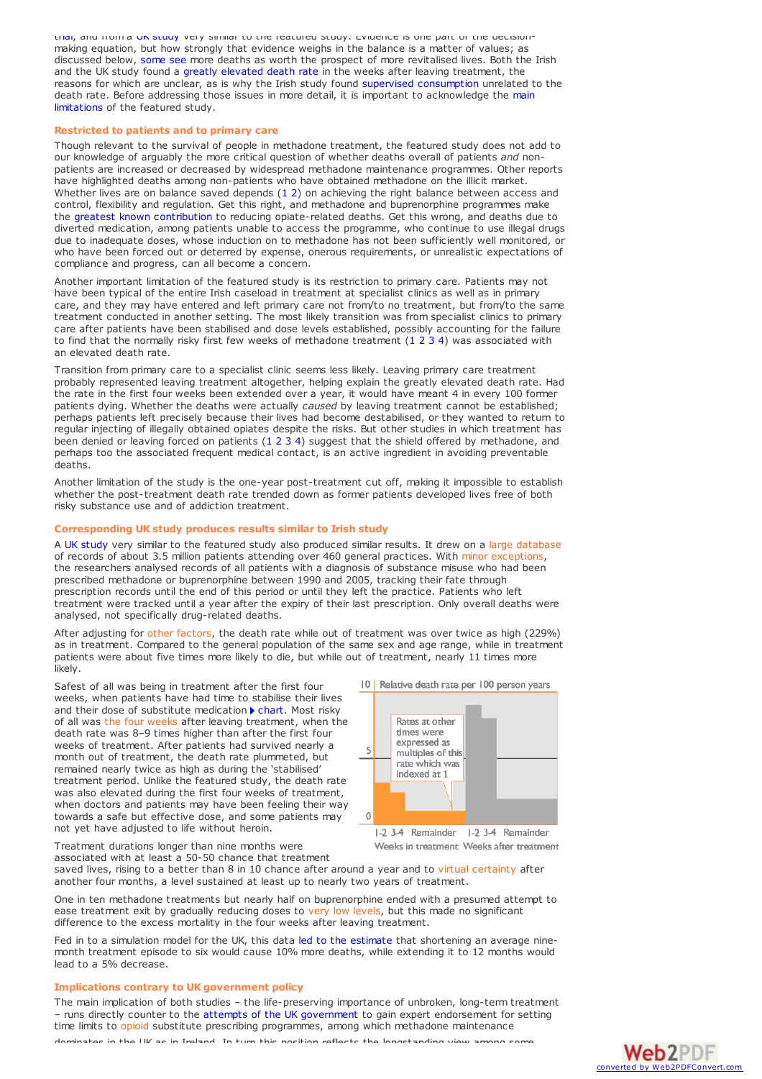trial, and from <sup>a</sup> UK [study](#page-2-1) very similar to the featured study. Evidence is one part of the decision- making equation, but how strongly that evidence weighs in the balance is <sup>a</sup> matter of values; as discussed below, [some](#page-3-1) see more deaths as worth the prospect of more revitalised lives. Both the Irish and the UK study found a greatly [elevated](#page-3-2) death rate in the weeks after leaving treatment, the reasons for which are unclear, as is why the Irish study found supervised [consumption](#page-4-0) unrelated to the death rate. Before addressing those issues in more detail, it is important to [acknowledge](#page-2-2) the main limitations of the featured study.

# <span id="page-2-2"></span>**Restricted to patients and to primary care**

Though relevant to the survival of people in methadone treatment, the featured study does not add to our knowledge of arguably the more critical question of whether deaths overall of patients *and* nonpatients are increased or decreased by widespread methadone maintenance programmes. Other reports have highlighted deaths among non-patients who have obtained methadone on the illicit market. Whether lives are on balance saved depends  $(1\ 2)$  $(1\ 2)$  $(1\ 2)$  $(1\ 2)$  on achieving the right balance between access and control, flexibility and regulation. Get this right, and methadone and buprenorphine programmes make the greatest known [contribution](http://dx.doi.org/10.3109/10826089609045806) to reducing opiate-related deaths. Get this wrong, and deaths due to diverted medication, among patients unable to access the programme, who continue to use illegal drugs due to inadequate doses, whose induction on to methadone has not been sufficiently well monitored, or who have been forced out or deterred by expense, onerous requirements, or unrealistic expectations of compliance and progress, can all become a concern.

Another important limitation of the featured study is its restriction to primary care. Patients may not have been typical of the entire Irish caseload in treatment at specialist clinics as well as in primary care, and they may have entered and left primary care not from/to no treatment, but from/to the same treatment conducted in another setting. The most likely transition was from specialist clinics to primary care after patients have been stabilised and dose levels established, possibly accounting for the failure to find that the normally risky first few weeks of methadone treatment [\(1](http://findings.org.uk/PHP/dl.php?file=nug_3_1.pdf&s=eb) [2](http://dx.doi.org/10.1046/j.1360-0443.2002.00179.x) [3](http://dx.doi.org/10.1016/j.drugalcdep.2009.05.021) [4](http://findings.org.uk/PHP/dl.php?file=Cornish_R_1.txt&s=eb)) was associated with an elevated death rate.

Transition from primary care to a specialist clinic seems less likely. Leaving primary care treatment probably represented leaving treatment altogether, helping explain the greatly elevated death rate. Had the rate in the first four weeks been extended over a year, it would have meant 4 in every 100 former patients dying. Whether the deaths were actually *caused* by leaving treatment cannot be established; perhaps patients left precisely because their lives had become destabilised, or they wanted to return to regular injecting of illegally obtained opiates despite the risks. But other studies in which treatment has been denied or leaving forced on patients ([1](http://findings.org.uk/PHP/dl.php?file=ACMD_10.txt&s=eb) [2](http://findings.org.uk/PHP/dl.php?file=Skeie_I_1.txt&s=eb) [3](http://dx.doi.org/10.1111/j.1600-0447.1990.tb03057.x) [4](http://dx.doi.org/10.3109/10826089809059353)) suggest that the shield offered by methadone, and perhaps too the associated frequent medical contact, is an active ingredient in avoiding preventable deaths.

Another limitation of the study is the one-year post-treatment cut off, making it impossible to establish whether the post-treatment death rate trended down as former patients developed lives free of both risky substance use and of addiction treatment.

# <span id="page-2-1"></span>**Corresponding UK study produces results similar to Irish study**

A UK [study](http://findings.org.uk/PHP/dl.php?file=Cornish_R_1.txt&s=eb) very similar to the featured study also produced similar results. It drew on a large database of records of about 3.5 million patients attending over 460 general practices. With minor exceptions, the researchers analysed records of all patients with a diagnosis of substance misuse who had been prescribed methadone or buprenorphine between 1990 and 2005, tracking their fate through prescription records until the end of this period or until they left the practice. Patients who left treatment were tracked until a year after the expiry of their last prescription. Only overall deaths were analysed, not specifically drug-related deaths.

After adjusting for other factors, the death rate while out of treatment was over twice as high (229%) as in treatment. Compared to the general population of the same sex and age range, while in treatment patients were about five times more likely to die, but while out of treatment, nearly 11 times more likely.

Safest of all was being in treatment after the first four weeks, when patients have had time to stabilise their lives and their dose of substitute medication  $\blacktriangleright$  [chart.](#page-2-3) Most risky of all was the four weeks after leaving treatment, when the death rate was 8–9 times higher than after the first four weeks of treatment. After patients had survived nearly <sup>a</sup> month out of treatment, the death rate plummeted, but remained nearly twice as high as during the 'stabilised' treatment period. Unlike the featured study, the death rate was also elevated during the first four weeks of treatment, when doctors and patients may have been feeling their way towards a safe but effective dose, and some patients may not yet have adjusted to life without heroin.

<span id="page-2-3"></span>

Weeks in treatment Weeks after treatment

Treatment durations longer than nine months were associated with at least a 50-50 chance that treatment

saved lives, rising to a better than 8 in 10 chance after around a year and to virtual certainty after another four months, a level sustained at least up to nearly two years of treatment.

One in ten methadone treatments but nearly half on buprenorphine ended with a presumed attempt to ease treatment exit by gradually reducing doses to very low levels, but this made no significant difference to the excess mortality in the four weeks after leaving treatment.

Fed in to a simulation model for the UK, this data led to the [estimate](http://dx.doi.org/10.1093/pubmed/fdr055) that shortening an average nine month treatment episode to six would cause 10% more deaths, while extending it to 12 months would lead to a 5% decrease.

## <span id="page-2-0"></span>**Implications contrary to UK government policy**

The main implication of both studies – the life-preserving importance of unbroken, long-term treatment – runs directly counter to the attempts of the UK [government](http://findings.org.uk/PHP/dl.php?file=ACMD_10.txt&s=eb) to gain expert endorsement for setting time limits to opioid substitute prescribing programmes, among which methadone maintenance inates in the UK as in Ireland. In turn this position reflects the longstanding

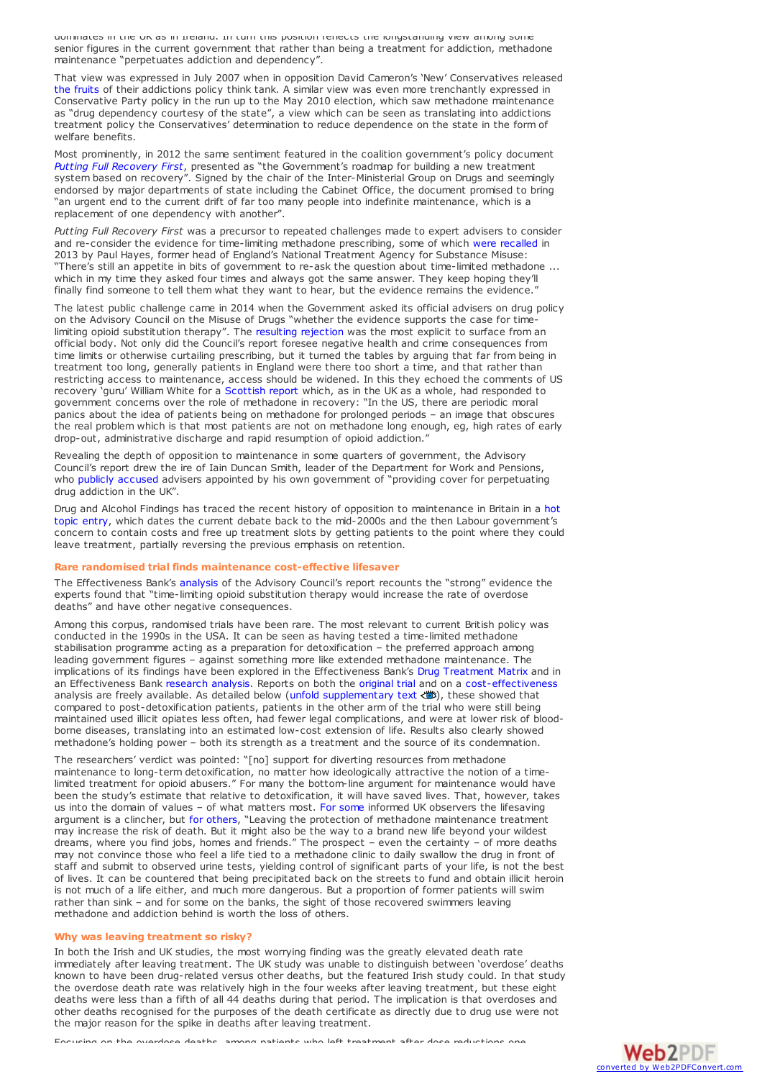dominates in the UK as in Ireland. In turn this position reflects the longstanding view among some senior figures in the current government that rather than being a treatment for addiction, methadone maintenance "perpetuates addiction and dependency".

That view was expressed in July 2007 when in opposition David Cameron's 'New' Conservatives released the [fruits](http://www.centreforsocialjustice.org.uk/publications/breakthrough-britain-addictions) of their addictions policy think tank. A similar view was even more trenchantly expressed in Conservative Party policy in the run up to the May 2010 election, which saw methadone maintenance as "drug dependency courtesy of the state", a view which can be seen as translating into addictions treatment policy the Conservatives' determination to reduce dependence on the state in the form of welfare benefits.

Most prominently, in 2012 the same sentiment featured in the coalition government's policy document *Putting Full [Recovery](https://www.gov.uk/government/publications/putting-full-recovery-first-the-recovery-roadmap) First*, presented as "the Government's roadmap for building a new treatment system based on recovery". Signed by the chair of the Inter-Ministerial Group on Drugs and seemingly endorsed by major departments of state including the Cabinet Office, the document promised to bring "an urgent end to the current drift of far too many people into indefinite maintenance, which is a replacement of one dependency with another".

*Putting Full Recovery First* was a precursor to repeated challenges made to expert advisers to consider and re-consider the evidence for time-limiting methadone prescribing, some of which were [recalled](https://drinkanddrugsnews.com/the-main-man/) in 2013 by Paul Hayes, former head of England's National Treatment Agency for Substance Misuse: "There's still an appetite in bits of government to re-ask the question about time-limited methadone ... which in my time they asked four times and always got the same answer. They keep hoping they'll finally find someone to tell them what they want to hear, but the evidence remains the evidence."

The latest public challenge came in 2014 when the Government asked its official advisers on drug policy on the Advisory Council on the Misuse of Drugs "whether the evidence supports the case for timelimiting opioid substitution therapy". The resulting [rejection](http://findings.org.uk/PHP/dl.php?file=ACMD_10.txt&s=eb) was the most explicit to surface from an official body. Not only did the Council's report foresee negative health and crime consequences from time limits or otherwise curtailing prescribing, but it turned the tables by arguing that far from being in treatment too long, generally patients in England were there too short a time, and that rather than restricting access to maintenance, access should be widened. In this they echoed the comments of US recovery 'guru' William White for a [Scottish](http://findings.org.uk/PHP/dl.php?file=DSDC_2.txt&s=eb) report which, as in the UK as a whole, had responded to government concerns over the role of methadone in recovery: "In the US, there are periodic moral panics about the idea of patients being on methadone for prolonged periods – an image that obscures the real problem which is that most patients are not on methadone long enough, eg, high rates of early drop-out, administrative discharge and rapid resumption of opioid addiction.

Revealing the depth of opposition to maintenance in some quarters of government, the Advisory Council's report drew the ire of Iain Duncan Smith, leader of the Department for Work and Pensions, who publicly [accused](http://www.telegraph.co.uk/news/politics/conservative/11233664/Now-fight-the-methadone-industry-that-keeps-addicts-hooked-says-Iain-Duncan-Smith.html) advisers appointed by his own government of "providing cover for perpetuating drug addiction in the UK".

Drug and Alcohol Findings has traced the recent history of opposition to [maintenance](http://www.findings.org.uk/PHP/dl.php?file=hot_subst_UK.hot&s=eb) in Britain in a hot topic entry, which dates the current debate back to the mid-2000s and the then Labour government's concern to contain costs and free up treatment slots by getting patients to the point where they could leave treatment, partially reversing the previous emphasis on retention.

### <span id="page-3-0"></span>**Rare randomised trial finds maintenance cost-effective lifesaver**

The Effectiveness Bank's [analysis](http://findings.org.uk/PHP/dl.php?file=ACMD_10.txt&s=eb) of the Advisory Council's report recounts the "strong" evidence the experts found that "time-limiting opioid substitution therapy would increase the rate of overdose deaths" and have other negative consequences.

Among this corpus, randomised trials have been rare. The most relevant to current British policy was conducted in the 1990s in the USA. It can be seen as having tested a time-limited methadone stabilisation programme acting as a preparation for detoxification – the preferred approach among leading government figures – against something more like extended methadone maintenance. The implications of its findings have been explored in the Effectiveness Bank's Drug [Treatment](http://findings.org.uk/PHP/dl.php?file=Matrix/Drugs/A3.htm&s=eb&format=open#highlighted) Matrix and in an Effectiveness Bank [research](http://findings.org.uk/PHP/dl.php?file=nug_11_2.pdf) analysis. Reports on both the [original](http://doctordeluca.com/Library/DetoxEngage/MethadoneVsDetoxRCT2K.pdf) trial and on a [cost-effectiveness](http://escholarship.org/uc/item/2p97h3rx.pdf) analysis are freely available. As detailed below (unfold [supplementary](javascript:;) text  $\bullet$ ), these showed that compared to post-detoxification patients, patients in the other arm of the trial who were still being maintained used illicit opiates less often, had fewer legal complications, and were at lower risk of blood-<br>borne diseas methadone's holding power – both its strength as a treatment and the source of its condemnation.

<span id="page-3-1"></span>The researchers' verdict was pointed: "[no] support for diverting resources from methadone maintenance to long-term detoxification, no matter how ideologically attractive the notion of <sup>a</sup> timelimited treatment for opioid abusers." For many the bottom-line argument for maintenance would have been the study's estimate that relative to detoxification, it will have saved lives. That, however, takes us into the domain of values – of what matters most. For [some](http://drinkanddrugsnews.com/wp-content/uploads/2014/11/DDN1114_web.pdf) informed UK observers the lifesaving argument is a clincher, but for [others](https://drinkanddrugsnews.com/recovery-and-drug-treatment/), "Leaving the protection of methadone maintenance treatment may increase the risk of death. But it might also be the way to a brand new life beyond your wildest dreams, where you find jobs, homes and friends." The prospect – even the certainty – of more deaths may not convince those who feel a life tied to a methadone clinic to daily swallow the drug in front of staff and submit to observed urine tests, yielding control of significant parts of your life, is not the best of lives. It can be countered that being precipitated back on the streets to fund and obtain illicit heroin is not much of a life either, and much more dangerous. But a proportion of former patients will swim rather than sink – and for some on the banks, the sight of those recovered swimmers leaving methadone and addiction behind is worth the loss of others.

#### <span id="page-3-2"></span>**Why was leaving treatment so risky?**

In both the Irish and UK studies, the most worrying finding was the greatly elevated death rate immediately after leaving treatment. The UK study was unable to distinguish between 'overdose' deaths known to have been drug-related versus other deaths, but the featured Irish study could. In that study the overdose death rate was relatively high in the four weeks after leaving treatment, but these eight deaths were less than a fifth of all 44 deaths during that period. The implication is that overdoses and other deaths recognised for the purposes of the death certificate as directly due to drug use were not the major reason for the spike in deaths after leaving treatment.

Focusing on the overdose deaths, among patients who left treatment after dose reductions one